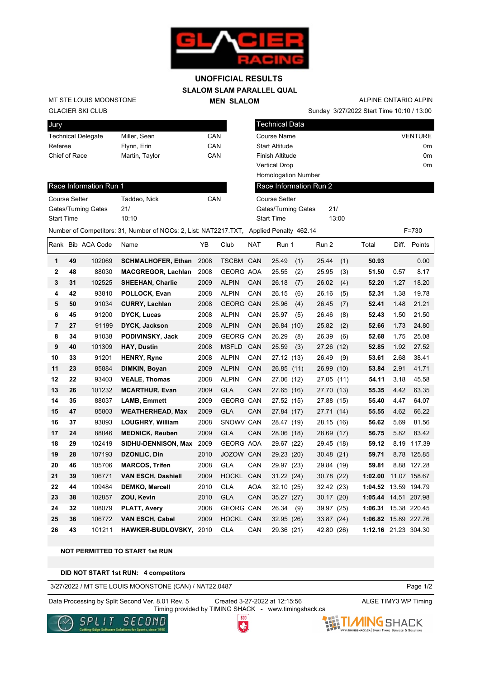

## **SLALOM SLAM PARALLEL QUAL MEN SLALOM UNOFFICIAL RESULTS**

GLACIER SKI CLUB MT STE LOUIS MOONSTONE

Race Information Run 1

| Jury                      |                |     |
|---------------------------|----------------|-----|
| <b>Technical Delegate</b> | Miller, Sean   | CAN |
| Referee                   | Flynn, Erin    | CAN |
| Chief of Race             | Martin, Taylor | CAN |
|                           |                |     |

Course Setter Taddeo, Nick CAN

Sunday 3/27/2022 Start Time 10:10 / 13:00 ALPINE ONTARIO ALPIN

| Technical Data             |       |                |
|----------------------------|-------|----------------|
| Course Name                |       | <b>VENTURE</b> |
| <b>Start Altitude</b>      |       | 0m             |
| Finish Altitude            |       | 0 <sub>m</sub> |
| <b>Vertical Drop</b>       |       | 0m             |
| <b>Homologation Number</b> |       |                |
| Race Information Run 2     |       |                |
| Course Setter              |       |                |
| Gates/Turning Gates        | 21/   |                |
| <b>Start Time</b>          | 13:00 |                |

Gates/Turning Gates 21/

| <b>Start Time</b> |    |                   | 10:10                                                                                   |      |                  |            | <b>Start Time</b> |            | 13:00 |                      |       |              |
|-------------------|----|-------------------|-----------------------------------------------------------------------------------------|------|------------------|------------|-------------------|------------|-------|----------------------|-------|--------------|
|                   |    |                   | Number of Competitors: 31, Number of NOCs: 2, List: NAT2217.TXT, Applied Penalty 462.14 |      |                  |            |                   |            |       |                      |       | $F = 730$    |
|                   |    | Rank Bib ACA Code | Name                                                                                    | YΒ   | Club             | <b>NAT</b> | Run 1             | Run 2      |       | Total                | Diff. | Points       |
| 1                 | 49 | 102069            | <b>SCHMALHOFER, Ethan</b>                                                               | 2008 | TSCBM CAN        |            | 25.49<br>(1)      | 25.44      | (1)   | 50.93                |       | 0.00         |
| 2                 | 48 | 88030             | <b>MACGREGOR, Lachlan</b>                                                               | 2008 | <b>GEORG AOA</b> |            | 25.55<br>(2)      | 25.95      | (3)   | 51.50                | 0.57  | 8.17         |
| 3                 | 31 | 102525            | <b>SHEEHAN, Charlie</b>                                                                 | 2009 | <b>ALPIN</b>     | <b>CAN</b> | 26.18<br>(7)      | 26.02      | (4)   | 52.20                | 1.27  | 18.20        |
| 4                 | 42 | 93810             | POLLOCK, Evan                                                                           | 2008 | <b>ALPIN</b>     | CAN        | 26.15<br>(6)      | 26.16      | (5)   | 52.31                | 1.38  | 19.78        |
| 5                 | 50 | 91034             | <b>CURRY, Lachlan</b>                                                                   | 2008 | <b>GEORG CAN</b> |            | 25.96<br>(4)      | 26.45      | (7)   | 52.41                | 1.48  | 21.21        |
| 6                 | 45 | 91200             | <b>DYCK, Lucas</b>                                                                      | 2008 | <b>ALPIN</b>     | CAN        | 25.97<br>(5)      | 26.46      | (8)   | 52.43                | 1.50  | 21.50        |
| 7                 | 27 | 91199             | <b>DYCK, Jackson</b>                                                                    | 2008 | <b>ALPIN</b>     | CAN        | 26.84 (10)        | 25.82      | (2)   | 52.66                | 1.73  | 24.80        |
| 8                 | 34 | 91038             | PODIVINSKY, Jack                                                                        | 2009 | <b>GEORG CAN</b> |            | 26.29<br>(8)      | 26.39      | (6)   | 52.68                | 1.75  | 25.08        |
| 9                 | 40 | 101309            | <b>HAY, Dustin</b>                                                                      | 2008 | <b>MSFLD</b>     | CAN        | 25.59<br>(3)      | 27.26      | (12)  | 52.85                | 1.92  | 27.52        |
| 10                | 33 | 91201             | <b>HENRY, Ryne</b>                                                                      | 2008 | <b>ALPIN</b>     | CAN        | 27.12 (13)        | 26.49      | (9)   | 53.61                | 2.68  | 38.41        |
| 11                | 23 | 85884             | DIMKIN, Boyan                                                                           | 2009 | <b>ALPIN</b>     | <b>CAN</b> | 26.85(11)         | 26.99      | (10)  | 53.84                | 2.91  | 41.71        |
| 12                | 22 | 93403             | <b>VEALE, Thomas</b>                                                                    | 2008 | <b>ALPIN</b>     | CAN        | 27.06 (12)        | 27.05      | (11)  | 54.11                | 3.18  | 45.58        |
| 13                | 26 | 101232            | <b>MCARTHUR, Evan</b>                                                                   | 2009 | <b>GLA</b>       | <b>CAN</b> | 27.65 (16)        | 27.70 (13) |       | 55.35                | 4.42  | 63.35        |
| 14                | 35 | 88037             | <b>LAMB, Emmett</b>                                                                     | 2009 | <b>GEORG CAN</b> |            | 27.52 (15)        | 27.88 (15) |       | 55.40                | 4.47  | 64.07        |
| 15                | 47 | 85803             | <b>WEATHERHEAD, Max</b>                                                                 | 2009 | <b>GLA</b>       | CAN        | 27.84 (17)        | 27.71 (14) |       | 55.55                | 4.62  | 66.22        |
| 16                | 37 | 93893             | <b>LOUGHRY, William</b>                                                                 | 2008 | SNOWV CAN        |            | 28.47 (19)        | 28.15 (16) |       | 56.62                | 5.69  | 81.56        |
| 17                | 24 | 88046             | <b>MEDNICK, Reuben</b>                                                                  | 2009 | <b>GLA</b>       | CAN        | 28.06 (18)        | 28.69 (17) |       | 56.75                | 5.82  | 83.42        |
| 18                | 29 | 102419            | SIDHU-DENNISON, Max 2009                                                                |      | <b>GEORG AOA</b> |            | 29.67 (22)        | 29.45 (18) |       | 59.12                | 8.19  | 117.39       |
| 19                | 28 | 107193            | <b>DZONLIC, Din</b>                                                                     | 2010 | JOZOW CAN        |            | 29.23 (20)        | 30.48 (21) |       | 59.71                |       | 8.78 125.85  |
| 20                | 46 | 105706            | <b>MARCOS, Trifen</b>                                                                   | 2008 | <b>GLA</b>       | CAN        | 29.97 (23)        | 29.84 (19) |       | 59.81                |       | 8.88 127.28  |
| 21                | 39 | 106771            | <b>VAN ESCH, Dashiell</b>                                                               | 2009 | <b>HOCKL</b>     | CAN        | 31.22(24)         | 30.78 (22) |       | 1:02.00              |       | 11.07 158.67 |
| 22                | 44 | 109484            | <b>DEMKO, Marcell</b>                                                                   | 2010 | <b>GLA</b>       | <b>AOA</b> | 32.10 (25)        | 32.42 (23) |       | 1:04.52 13.59 194.79 |       |              |
| 23                | 38 | 102857            | ZOU, Kevin                                                                              | 2010 | <b>GLA</b>       | CAN        | 35.27 (27)        | 30.17 (20) |       | 1:05.44 14.51 207.98 |       |              |
| 24                | 32 | 108079            | <b>PLATT, Avery</b>                                                                     | 2008 | <b>GEORG CAN</b> |            | 26.34<br>(9)      | 39.97 (25) |       | 1:06.31 15.38 220.45 |       |              |
| 25                | 36 | 106772            | <b>VAN ESCH, Cabel</b>                                                                  | 2009 | HOCKL CAN        |            | 32.95 (26)        | 33.87 (24) |       | 1:06.82              |       | 15.89 227.76 |
| 26                | 43 | 101211            | <b>HAWKER-BUDLOVSKY</b>                                                                 | 2010 | <b>GLA</b>       | CAN        | 29.36 (21)        | 42.80      | (26)  | 1:12.16 21.23 304.30 |       |              |

## **NOT PERMITTED TO START 1st RUN**

**DID NOT START 1st RUN: 4 competitors**

3/27/2022 / MT STE LOUIS MOONSTONE (CAN) / NAT22.0487

Data Processing by Split Second Ver. 8.01 Rev. 5 Created 3-27-2022 at 12:15:56 ALGE TIMY3 WP Timing

Timing provided by TIMING SHACK - www.timingshack.ca

Page 1/2